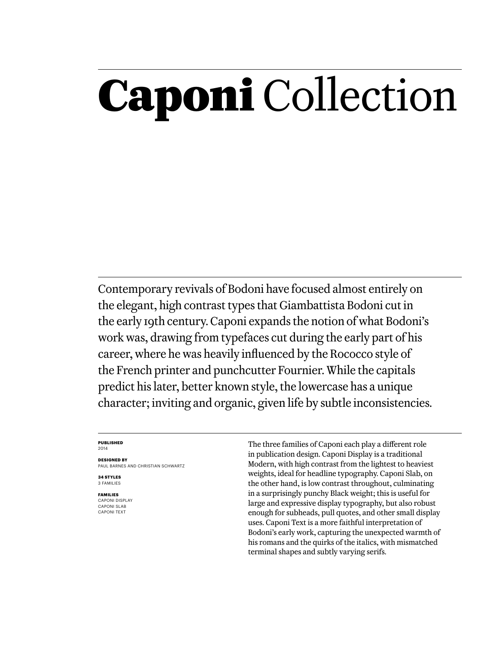## Caponi Collection

Contemporary revivals of Bodoni have focused almost entirely on the elegant, high contrast types that Giambattista Bodoni cut in the early 19th century. Caponi expands the notion of what Bodoni's work was, drawing from typefaces cut during the early part of his career, where he was heavily influenced by the Rococco style of the French printer and punchcutter Fournier. While the capitals predict his later, better known style, the lowercase has a unique character; inviting and organic, given life by subtle inconsistencies.

#### **Published** 2014

**Designed by** Paul Barnes AND Christian Schwartz

**34 styles** 3 families

**families** caponi display caponi slab caponi text

The three families of Caponi each play a different role in publication design. Caponi Display is a traditional Modern, with high contrast from the lightest to heaviest weights, ideal for headline typography. Caponi Slab, on the other hand, is low contrast throughout, culminating in a surprisingly punchy Black weight; this is useful for large and expressive display typography, but also robust enough for subheads, pull quotes, and other small display uses. Caponi Text is a more faithful interpretation of Bodoni's early work, capturing the unexpected warmth of his romans and the quirks of the italics, with mismatched terminal shapes and subtly varying serifs.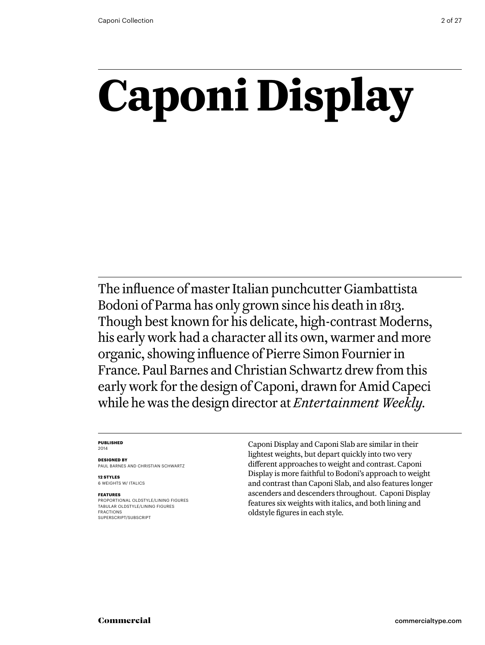# **Caponi Display**

The influence of master Italian punchcutter Giambattista Bodoni of Parma has only grown since his death in 1813. Though best known for his delicate, high-contrast Moderns, his early work had a character all its own, warmer and more organic, showing influence of Pierre Simon Fournier in France. Paul Barnes and Christian Schwartz drew from this early work for the design of Caponi, drawn for Amid Capeci while he was the design director at *Entertainment Weekly.*

#### **Published** 2014

**Designed by** Paul Barnes AND Christian Schwartz

**12 styles** 6 weights w/ ITALICS

#### **Features**

Proportional oldstyle/lining figures Tabular oldstyle/lining figures Fractions SUPERSCRIPT/SUBSCRIPT

Caponi Display and Caponi Slab are similar in their lightest weights, but depart quickly into two very different approaches to weight and contrast. Caponi Display is more faithful to Bodoni's approach to weight and contrast than Caponi Slab, and also features longer ascenders and descenders throughout. Caponi Display features six weights with italics, and both lining and oldstyle figures in each style.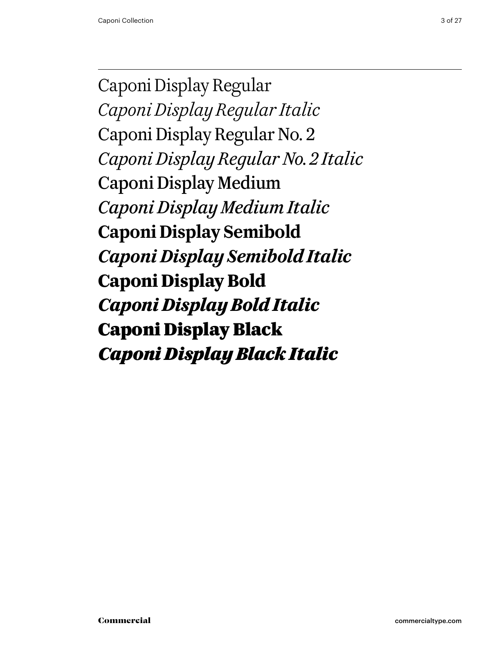Caponi Display Regular *Caponi Display Regular Italic* Caponi Display Regular No. 2 *Caponi Display Regular No. 2 Italic* Caponi Display Medium *Caponi Display Medium Italic* **Caponi Display Semibold** *Caponi Display Semibold Italic* **Caponi Display Bold** *Caponi Display Bold Italic* Caponi Display Black *Caponi Display Black Italic*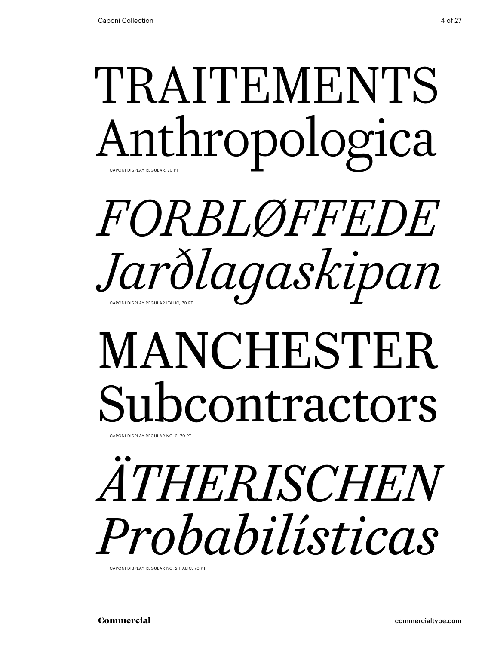### TRAITEMENTS Anthropologica Caponi Display Regular, 70 Pt

## *Forbløffede Jarðlagaskipan* Caponi Display Regular Italic, 70 Pt

## MANCHESTER Subcontractors

CAPONI DISPLAY REGULAR NO. 2, 70 PT

# *Ätherischen Probabilísticas*

Caponi Display Regular No. 2 Italic, 70 Pt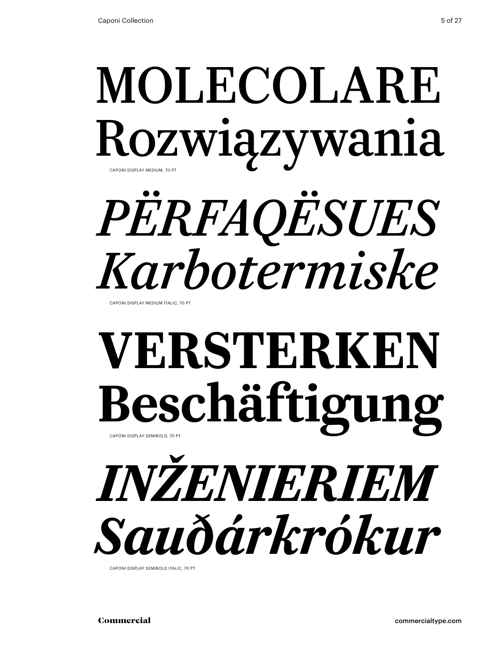### MOLECOLARE Rozwiązywania CAPONI DISPLAY MEDIUM, 70 PT

# *përfaqësues Karbotermiske*

CAPONI DISPLAY MEDIUM ITALIC, 70 PT

## **Versterken Beschäftigung** Caponi Display Semibold, 70 Pt

## *inženieriem Sauðárkrókur*

Caponi Display Semibold italic, 70 Pt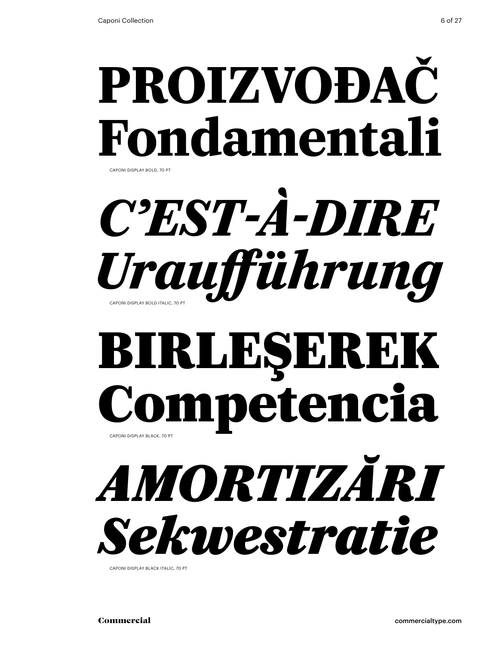## **proizvođač Fondamentali** Caponi Display bold, 70 Pt

## C'EST-À-DIRE *Uraufführung* Caponi Display bold italic, 70 Pt

### Birleşerek Competencia Caponi Display black, 70 Pt

*amortizări Sekwestratie*

Caponi Display black italic, 70 Pt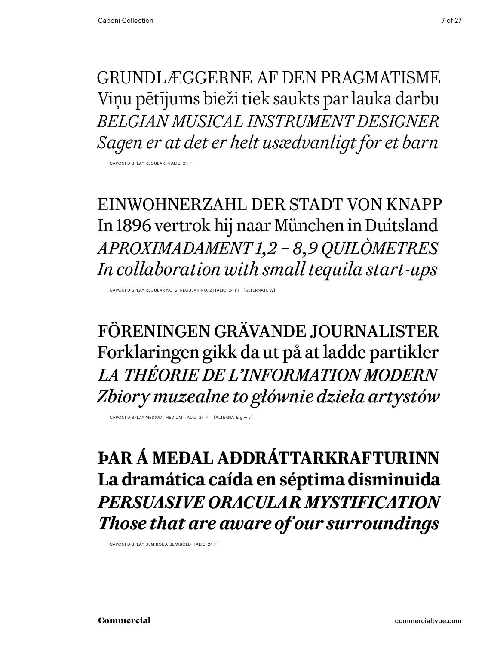Grundlæggerne af den pragmatisme Viņu pētījums bieži tiek saukts par lauka darbu *Belgian musical instrument designer Sagen er at det er helt usædvanligt for et barn*

Caponi Display Regular, italic, 24 Pt

Einwohnerzahl der Stadt von knapp In 1896 vertrok hij naar München in Duitsland *Aproximadament 1,2 – 8,9 quilòmetres In collaboration with small tequila start-ups*

Caponi Display Regular No. 2, Regular No. 2 Italic, 24 Pt [alternate w]

Föreningen Grävande Journalister Forklaringen gikk da ut på at ladde partikler *La théorie de l'information modern Zbiory muzealne to głównie dzieła artystów*

Caponi Display medium, medium italic, 24 Pt [alternate g w y]

**Þar á meðal aðdráttarkrafturinn La dramática caída en séptima disminuida** *Persuasive oracular mystification Those that are aware of our surroundings*

Caponi Display Semibold, Semibold italic, 24 Pt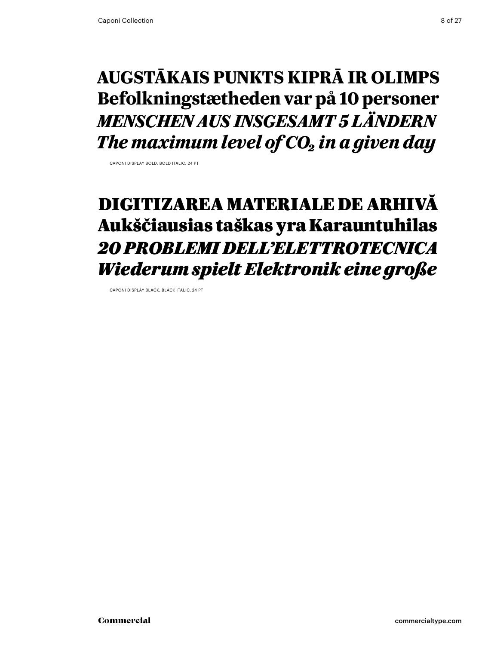### **Augstākais punkts Kiprā ir Olimps Befolkningstætheden var på 10 personer** *Menschen aus insgesamt 5 Ländern The maximum level of CO<sub>2</sub> in a given day*

Caponi Display bold, bold italic, 24 Pt

### Digitizarea materiale de arhivă Aukščiausias taškas yra Karauntuhilas *20 problemi dell'elettrotecnica Wiederum spielt Elektronik eine große*

Caponi Display black, black italic, 24 Pt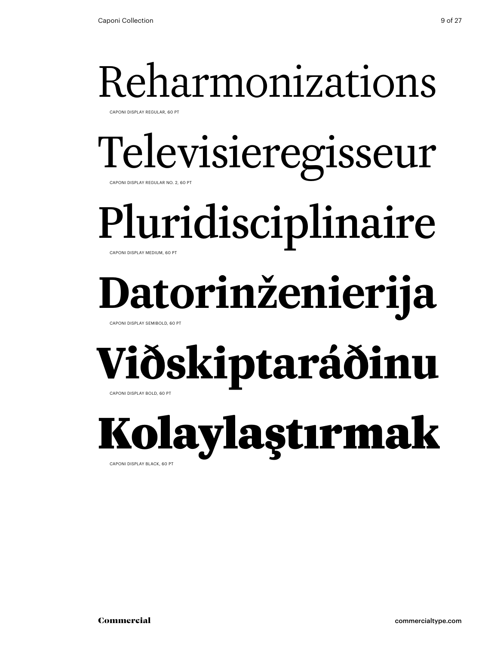## Reharmonizations

Caponi Display Regular, 60 Pt

### Televisieregisseur Caponi Display Regular No. 2, 60 Pt

Pluridisciplinaire

Caponi Display Medium, 60 Pt

## **Datorinženierija**

Caponi Display Semibold, 60 Pt

# **Viðskiptaráðinu**

Caponi Display bold, 60 Pt

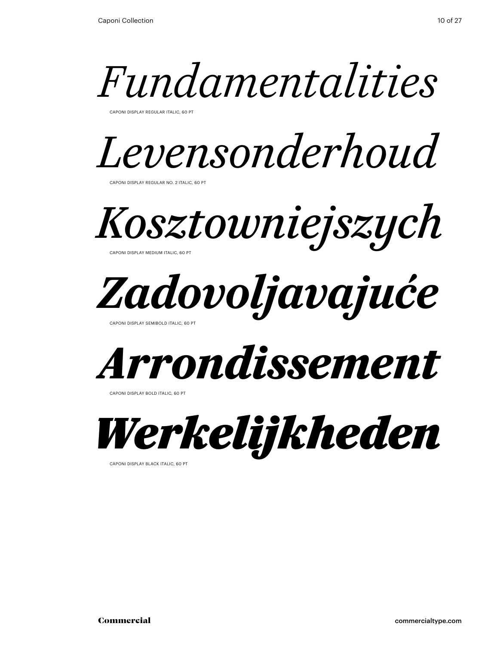

Caponi Display Regular Italic, 60 Pt



Caponi Display Regular No. 2 Italic, 60 Pt

*Kosztowniejszych* Caponi Display Medium Italic, 60 Pt



Caponi Display Semibold italic, 60 Pt



CAPONI DISPLAY BOLD ITALIC, 60 PT



Caponi Display black italic, 60 Pt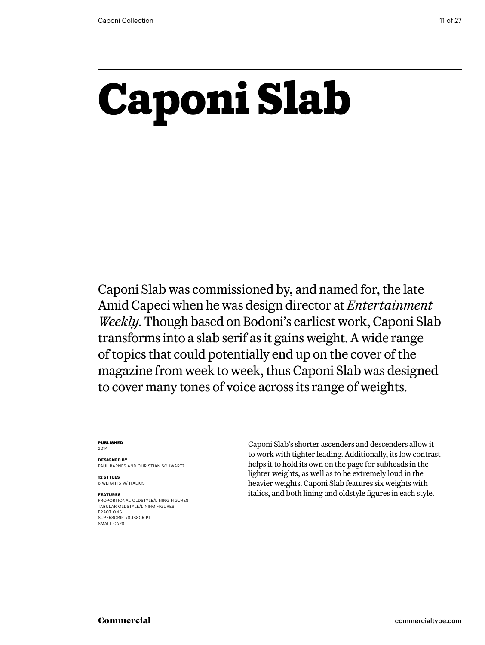## **Caponi Slab**

Caponi Slab was commissioned by, and named for, the late Amid Capeci when he was design director at *Entertainment Weekly.* Though based on Bodoni's earliest work, Caponi Slab transforms into a slab serif as it gains weight. A wide range of topics that could potentially end up on the cover of the magazine from week to week, thus Caponi Slab was designed to cover many tones of voice across its range of weights.

#### **Published** 2014

**Designed by** Paul Barnes and Christian Schwartz

**12 styles** 6 weights w/ ITALICS

#### **Features**

Proportional oldstyle/lining figures Tabular oldstyle/lining figures Fractions SUPERSCRIPT/SUBSCRIPT SMALL CAPS

Caponi Slab's shorter ascenders and descenders allow it to work with tighter leading. Additionally, its low contrast helps it to hold its own on the page for subheads in the lighter weights, as well as to be extremely loud in the heavier weights. Caponi Slab features six weights with italics, and both lining and oldstyle figures in each style.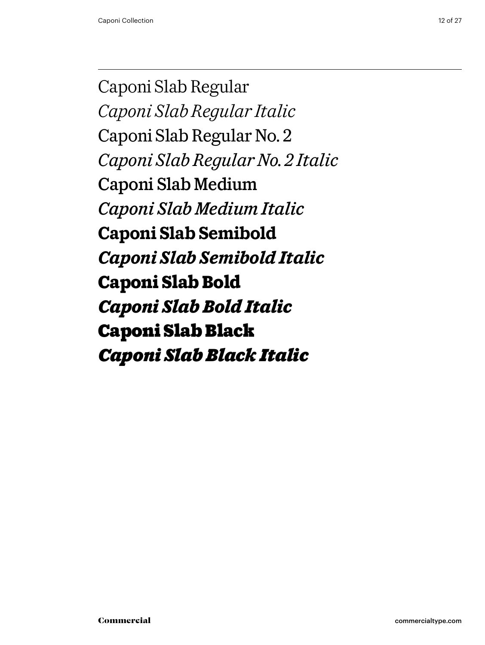Caponi Slab Regular *Caponi Slab Regular Italic* Caponi Slab Regular No. 2 *Caponi Slab Regular No. 2 Italic* Caponi Slab Medium *Caponi Slab Medium Italic* **Caponi Slab Semibold** *Caponi Slab Semibold Italic* **Caponi Slab Bold** *Caponi Slab Bold Italic* Caponi Slab Black *Caponi Slab Black Italic*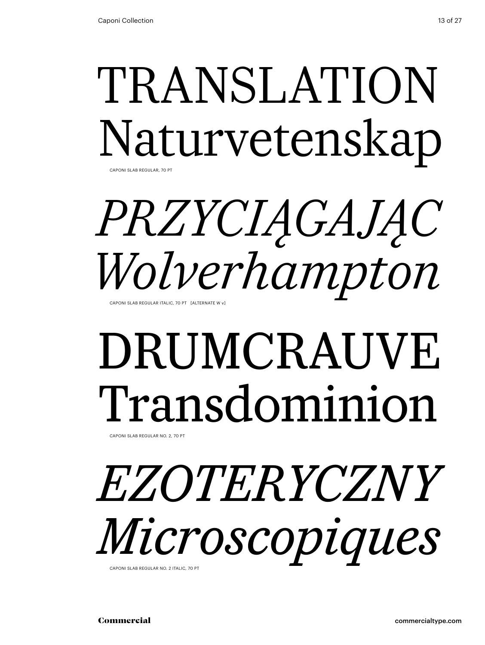### TRANSLATION Naturvetenskap CAPONI SI AB REGUI AR, 70 PT

## *przyciągając Wolverhampton*

Caponi Slab Regular Italic, 70 Pt [alternate w v]

## DRUMCRAUVE Transdominion

Caponi Slab Regular No. 2, 70 Pt

### *ezoteryczny Microscopiques* CAPONI SI AB REGULAR NO. 2 ITALIC, 70 PT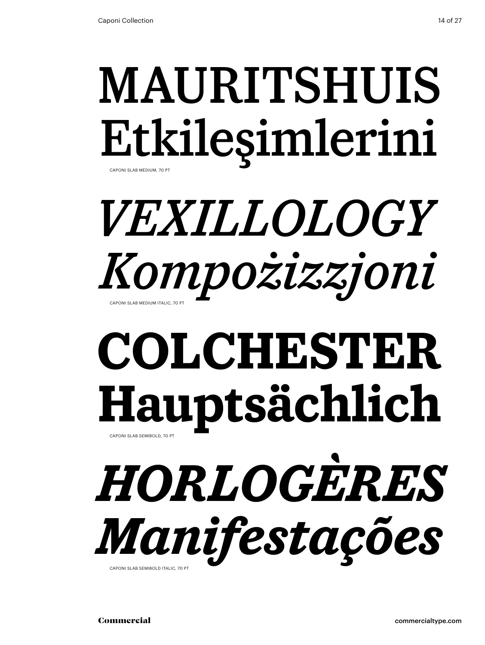### MAURITSHUIS Etkileşimlerini Caponi Slab Medium, 70 Pt

## *Vexillology Kompożizzjoni* Caponi Slab Medium Italic, 70 Pt

## **colchester Hauptsächlich** CAPONI SLAB SEMIBOLD, 70 PT

*horlogères Manifestações* CAPONI SLAB SEMIBOLD ITALIC, 70 P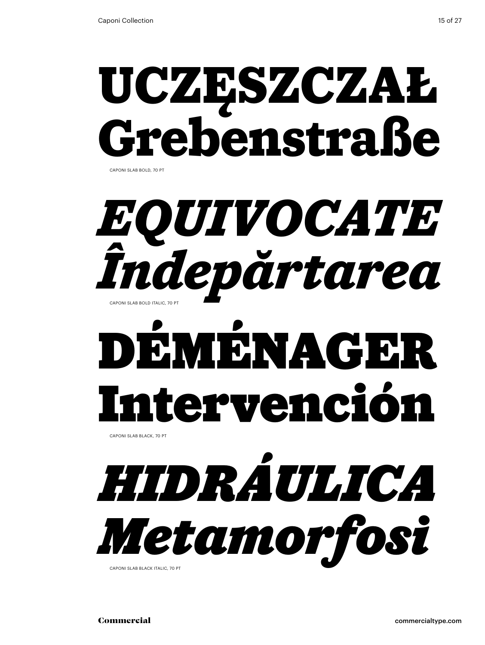## **uczęszczał Grebenstraße** Caponi Slab bold, 70 Pt

## $EOUTVOCATE$ *Îndepărtarea*  CAPONI SI AB BOLD ITALIC, 70 PT

# Déménager Intervención

Caponi Slab black, 70 Pt

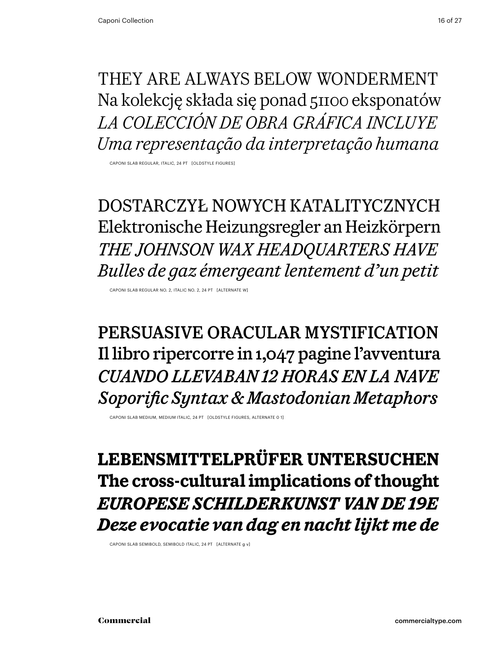They are always below wonderment Na kolekcję składa się ponad 51100 eksponatów *La colección de obra gráfica incluye Uma representação da interpretação humana*

Caponi Slab Regular, italic, 24 Pt [oldstyle figures]

dostarczył nowych katalitycznych Elektronische Heizungsregler an Heizkörpern *The Johnson Wax Headquarters Have Bulles de gaz émergeant lentement d'un petit*

Caponi Slab Regular No. 2, Italic No. 2, 24 Pt [alternate w]

persuasive oracular mystification Il libro ripercorre in 1,047 pagine l'avventura *Cuando llevaban 12 horas en la nave Soporific Syntax & Mastodonian Metaphors*

Caponi Slab medium, medium italic, 24 Pt [oldstyle figures, alternate 0 1]

**Lebensmittelprüfer untersuchen The cross-cultural implications of thought** *Europese schilderkunst van de 19e Deze evocatie van dag en nacht lijkt me de*

Caponi Slab Semibold, Semibold italic, 24 Pt [alternate g v]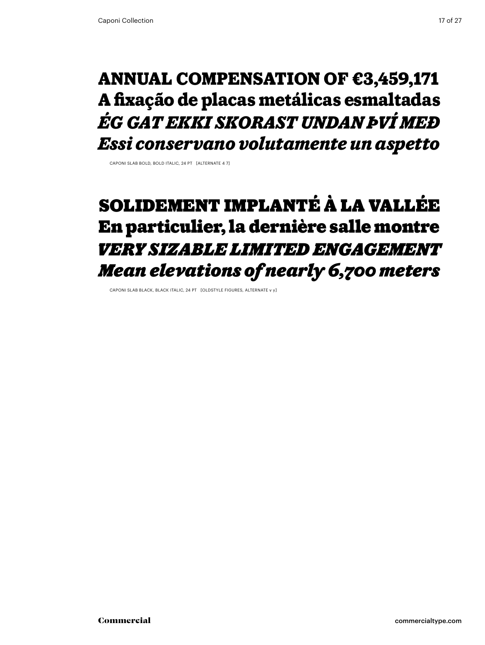### **annual compensation of €3,459,171 A fixação de placas metálicas esmaltadas** *Ég gat ekki skorast undan því með Essi conservano volutamente un aspetto*

Caponi Slab bold, bold italic, 24 Pt [alternate 4 7]

### Solidement implanté à La Vallée En particulier, la dernière salle montre *very sizable limited engagement Mean elevations of nearly 6,700 meters*

Caponi Slab black, black italic, 24 Pt [oldstyle figures, alternate v y]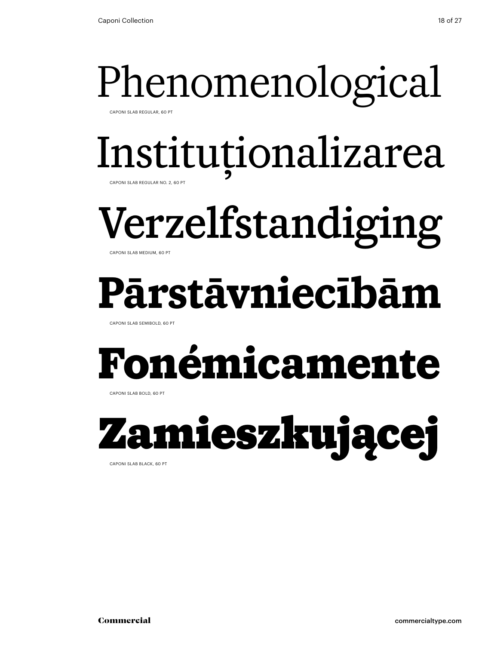Caponi Slab Regular, 60 Pt

# Instituționalizarea

Caponi Slab Regular No. 2, 60 Pt

# Verzelfstandiging

Caponi Slab Medium, 60 Pt

## **Pārstāvniecībām**

Caponi Slab Semibold, 60 Pt

## **Fonémicamente**

Caponi Slab bold, 60 Pt



Caponi Slab black, 60 Pt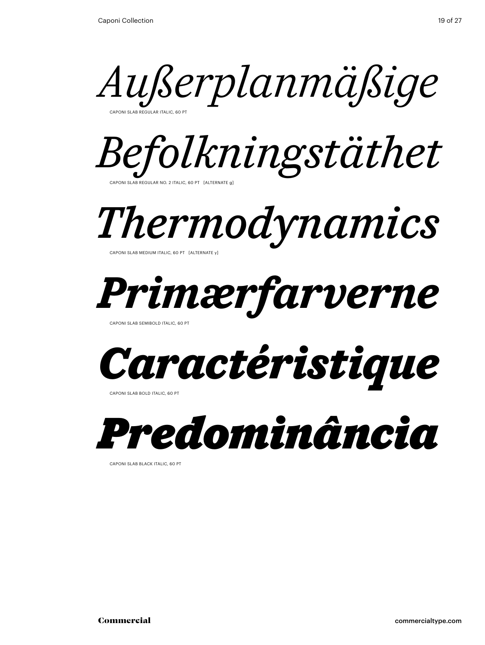



*Thermodynamics*

Caponi Slab Medium Italic, 60 Pt [alternate y]



Caponi Slab Semibold italic, 60 Pt



Caponi Slab bold italic, 60 Pt



Caponi Slab black italic, 60 Pt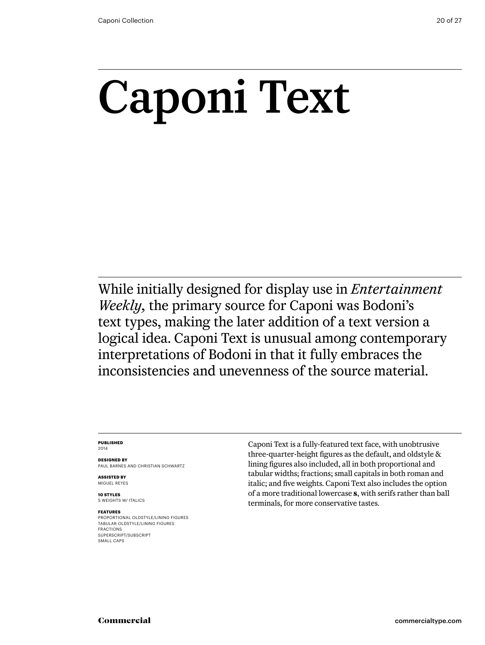# Caponi Text

While initially designed for display use in *Entertainment Weekly,* the primary source for Caponi was Bodoni's text types, making the later addition of a text version a logical idea. Caponi Text is unusual among contemporary interpretations of Bodoni in that it fully embraces the inconsistencies and unevenness of the source material.

#### **Published** 2014

**Designed by** Paul Barnes AND Christian Schwartz

**ASSISTED BY** MIGUEL REYES

**10 styles** 5 weights w/ ITALICS

#### **Features**

Proportional oldstyle/lining figures Tabular oldstyle/lining figures Fractions SUPERSCRIPT/SUBSCRIPT SMALL CAPS

Caponi Text is a fully-featured text face, with unobtrusive three-quarter-height figures as the default, and oldstyle & lining figures also included, all in both proportional and tabular widths; fractions; small capitals in both roman and italic; and five weights. Caponi Text also includes the option of a more traditional lowercase **s**, with serifs rather than ball terminals, for more conservative tastes.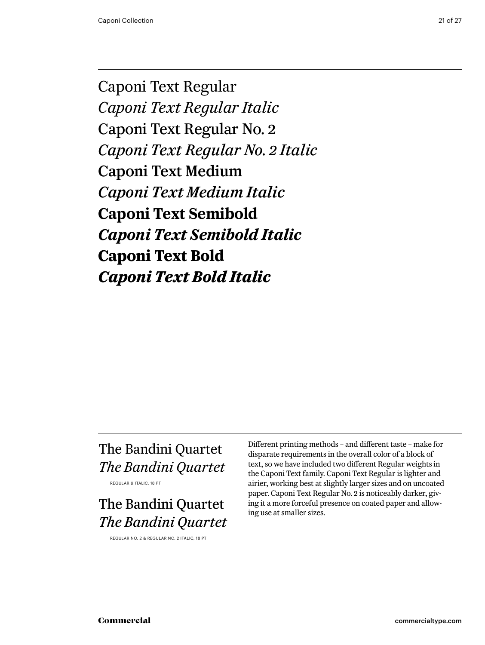Caponi Text Regular *Caponi Text Regular Italic* Caponi Text Regular No. 2 *Caponi Text Regular No. 2 Italic* Caponi Text Medium *Caponi Text Medium Italic* **Caponi Text Semibold** *Caponi Text Semibold Italic* **Caponi Text Bold** *Caponi Text Bold Italic*

### The Bandini Quartet *The Bandini Quartet*

Regular & Italic, 18 pt

### The Bandini Quartet *The Bandini Quartet*

Regular No. 2 & Regular No. 2 Italic, 18 pt

Different printing methods – and different taste – make for disparate requirements in the overall color of a block of text, so we have included two different Regular weights in the Caponi Text family. Caponi Text Regular is lighter and airier, working best at slightly larger sizes and on uncoated paper. Caponi Text Regular No. 2 is noticeably darker, giving it a more forceful presence on coated paper and allowing use at smaller sizes.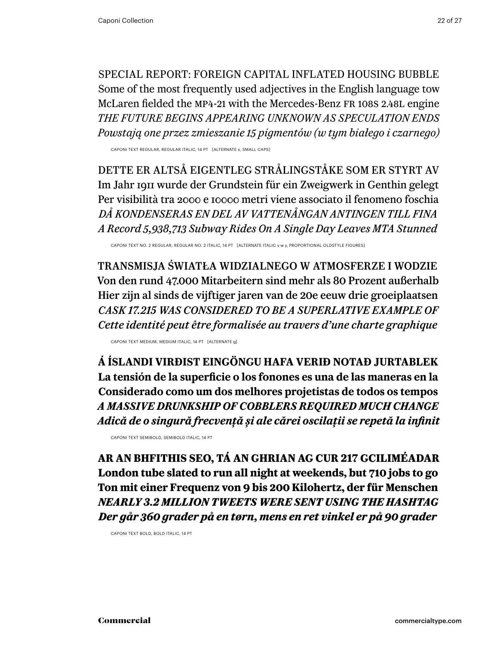special report: Foreign Capital Inflated Housing Bubble Some of the most frequently used adjectives in the English language tow McLaren fielded the MP4-21 with the Mercedes-Benz FR 108s 2.48l engine *the future begins appearing unknown as speculation ends Powstają one przez zmieszanie 15 pigmentów (w tym białego i czarnego)*

Caponi TEXT Regular, Regular Italic, 14 PT [alternate s, small caps]

Dette er altså eigentleg strålingståke som er styrt av Im Jahr 1911 wurde der Grundstein für ein Zweigwerk in Genthin gelegt Per visibilità tra 2000 e 10000 metri viene associato il fenomeno foschia *Då kondenseras en del av vattenångan antingen till fina A Record 5,938,713 Subway Rides On A Single Day Leaves MTA Stunned*

Caponi TEXT No. 2 Regular, Regular No. 2 Italic, 14 PT [alternate ITALIC v w y, proportional oldstyle figures]

Transmisja światła widzialnego w atmosferze i wodzie Von den rund 47.000 Mitarbeitern sind mehr als 80 Prozent außerhalb Hier zijn al sinds de vijftiger jaren van de 20e eeuw drie groeiplaatsen *cask 17.215 was considered to be a superlative example of Cette identité peut être formalisée au travers d'une charte graphique* 

Caponi TEXT Medium, Medium ITALIC, 14 PT [alternate g]

**Á Íslandi virðist eingöngu hafa verið notað jurtablek La tensión de la superficie o los fonones es una de las maneras en la Considerado como um dos melhores projetistas de todos os tempos**  *A massive drunkship of cobblers required much change Adică de o singură frecvență și ale cărei oscilații se repetă la infinit*

Caponi TEXT Semibold, Semibold italic, 14 PT

**Ar an bhfithis seo, tá an Ghrian ag cur 217 gciliméadar London tube slated to run all night at weekends, but 710 jobs to go Ton mit einer Frequenz von 9 bis 200 Kilohertz, der für Menschen** *nearly 3.2 million tweets were sent using the hashtag Der går 360 grader på en tørn, mens en ret vinkel er på 90 grader*

Caponi TEXT Bold, Bold italic, 14 PT

Commercial commercialtype.com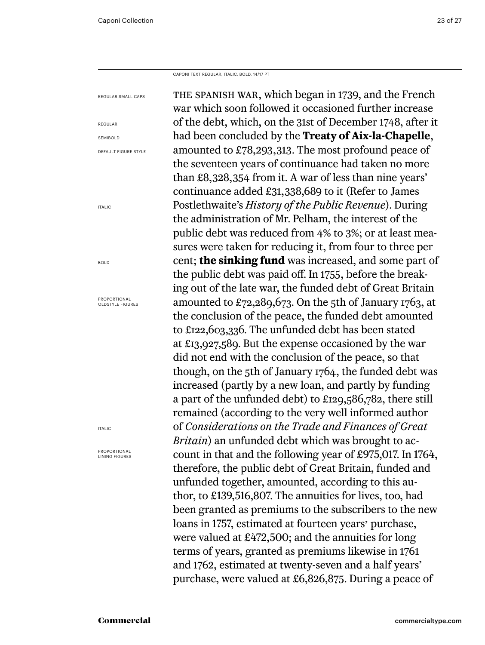Caponi Text Regular, italic, bold, 14/17 PT

| REGULAR SMALL CAPS                      | THE SPANISH WAR, which began in 1739, and the French                |
|-----------------------------------------|---------------------------------------------------------------------|
|                                         | war which soon followed it occasioned further increase              |
| REGULAR                                 | of the debt, which, on the 31st of December 1748, after it          |
| SEMIBOLD                                | had been concluded by the <b>Treaty of Aix-la-Chapelle</b> ,        |
| <b>DEFAULT FIGURE STYLE</b>             | amounted to £78,293,313. The most profound peace of                 |
|                                         | the seventeen years of continuance had taken no more                |
|                                         | than £8,328,354 from it. A war of less than nine years'             |
|                                         | continuance added £31,338,689 to it (Refer to James                 |
| <b>ITALIC</b>                           | Postlethwaite's History of the Public Revenue). During              |
|                                         | the administration of Mr. Pelham, the interest of the               |
|                                         | public debt was reduced from 4% to 3%; or at least mea-             |
|                                         | sures were taken for reducing it, from four to three per            |
| <b>BOLD</b>                             | cent; <b>the sinking fund</b> was increased, and some part of       |
|                                         | the public debt was paid off. In 1755, before the break-            |
|                                         | ing out of the late war, the funded debt of Great Britain           |
| PROPORTIONAL<br><b>OLDSTYLE FIGURES</b> | amounted to £72,289,673. On the 5th of January 1763, at             |
|                                         | the conclusion of the peace, the funded debt amounted               |
|                                         | to £122,603,336. The unfunded debt has been stated                  |
|                                         | at £13,927,589. But the expense occasioned by the war               |
|                                         | did not end with the conclusion of the peace, so that               |
|                                         | though, on the 5th of January 1764, the funded debt was             |
|                                         | increased (partly by a new loan, and partly by funding              |
|                                         | a part of the unfunded debt) to £129,586,782, there still           |
|                                         | remained (according to the very well informed author                |
| <b>ITALIC</b>                           | of Considerations on the Trade and Finances of Great                |
|                                         | Britain) an unfunded debt which was brought to ac-                  |
| PROPORTIONAL<br><b>LINING FIGURES</b>   | count in that and the following year of £975,017. In 1764,          |
|                                         | therefore, the public debt of Great Britain, funded and             |
|                                         | unfunded together, amounted, according to this au-                  |
|                                         | thor, to £139,516,807. The annuities for lives, too, had            |
|                                         | been granted as premiums to the subscribers to the new              |
|                                         | loans in 1757, estimated at fourteen years' purchase,               |
|                                         | were valued at $\text{\pounds}472,500$ ; and the annuities for long |
|                                         | terms of years, granted as premiums likewise in 1761                |
|                                         | and 1762, estimated at twenty-seven and a half years'               |
|                                         | purchase, were valued at £6,826,875. During a peace of              |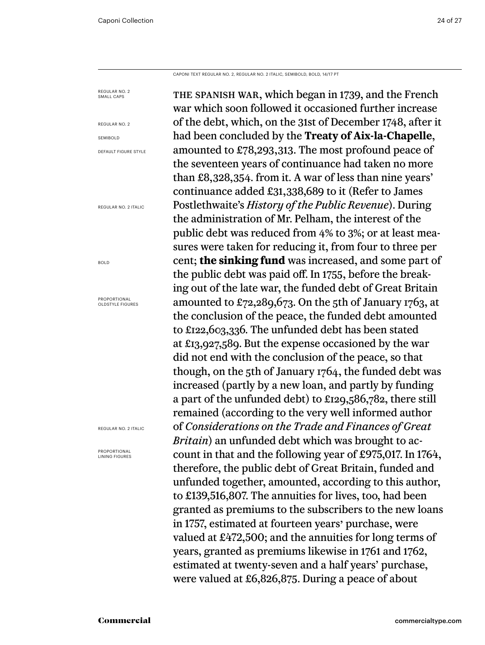Caponi Text Regular No. 2, Regular No. 2 Italic, semibold, bold, 14/17 PT

the spanish war, which began in 1739, and the French war which soon followed it occasioned further increase of the debt, which, on the 31st of December 1748, after it had been concluded by the **Treaty of Aix-la-Chapelle**, amounted to £78,293,313. The most profound peace of the seventeen years of continuance had taken no more than £8,328,354. from it. A war of less than nine years' continuance added £31,338,689 to it (Refer to James Postlethwaite's *History of the Public Revenue*). During the administration of Mr. Pelham, the interest of the public debt was reduced from 4% to 3%; or at least measures were taken for reducing it, from four to three per cent; **the sinking fund** was increased, and some part of the public debt was paid off. In 1755, before the breaking out of the late war, the funded debt of Great Britain amounted to £72,289,673. On the 5th of January 1763, at the conclusion of the peace, the funded debt amounted to £122,603,336. The unfunded debt has been stated at £13,927,589. But the expense occasioned by the war did not end with the conclusion of the peace, so that though, on the 5th of January 1764, the funded debt was increased (partly by a new loan, and partly by funding a part of the unfunded debt) to £129,586,782, there still remained (according to the very well informed author of *Considerations on the Trade and Finances of Great Britain*) an unfunded debt which was brought to account in that and the following year of £975,017. In 1764, therefore, the public debt of Great Britain, funded and unfunded together, amounted, according to this author, to £139,516,807. The annuities for lives, too, had been granted as premiums to the subscribers to the new loans in 1757, estimated at fourteen years' purchase, were valued at £472,500; and the annuities for long terms of years, granted as premiums likewise in 1761 and 1762, estimated at twenty-seven and a half years' purchase, were valued at £6,826,875. During a peace of about Regular no. 2 SMALL CAPS Regular no. 2 SEMIBOLD Default Figure Style Regular No. 2 Italic bold Proportional OLDSTYLE FIGURES Regular No. 2 Italic Proportional Lining figures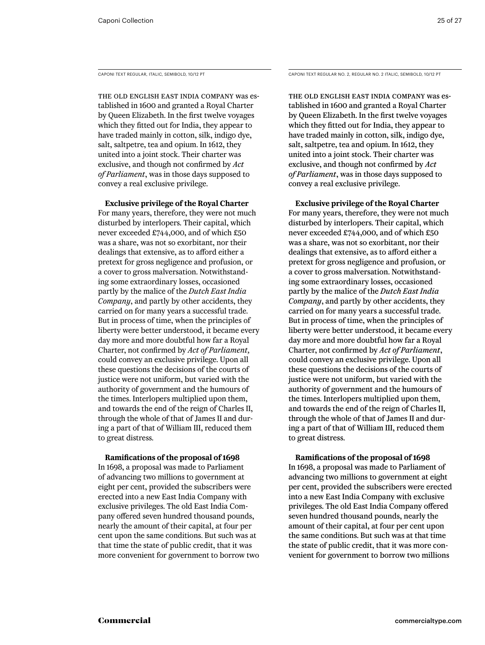The old English East India Company was established in 1600 and granted a Royal Charter by Queen Elizabeth. In the first twelve voyages which they fitted out for India, they appear to have traded mainly in cotton, silk, indigo dye, salt, saltpetre, tea and opium. In 1612, they united into a joint stock. Their charter was exclusive, and though not confirmed by *Act of Parliament*, was in those days supposed to convey a real exclusive privilege.

**Exclusive privilege of the Royal Charter**

For many years, therefore, they were not much disturbed by interlopers. Their capital, which never exceeded £744,000, and of which £50 was a share, was not so exorbitant, nor their dealings that extensive, as to afford either a pretext for gross negligence and profusion, or a cover to gross malversation. Notwithstanding some extraordinary losses, occasioned partly by the malice of the *Dutch East India Company*, and partly by other accidents, they carried on for many years a successful trade. But in process of time, when the principles of liberty were better understood, it became every day more and more doubtful how far a Royal Charter, not confirmed by *Act of Parliament,* could convey an exclusive privilege. Upon all these questions the decisions of the courts of justice were not uniform, but varied with the authority of government and the humours of the times. Interlopers multiplied upon them, and towards the end of the reign of Charles II, through the whole of that of James II and during a part of that of William III, reduced them to great distress.

### **Ramifications of the proposal of 1698**

In 1698, a proposal was made to Parliament of advancing two millions to government at eight per cent, provided the subscribers were erected into a new East India Company with exclusive privileges. The old East India Company offered seven hundred thousand pounds, nearly the amount of their capital, at four per cent upon the same conditions. But such was at that time the state of public credit, that it was more convenient for government to borrow two

Caponi Text Regular, Italic, semibold, 10/12 PT Caponi Text Regular No. 2, Regular No. 2 Italic, semibold, 10/12 PT

The old English East India Company was established in 1600 and granted a Royal Charter by Queen Elizabeth. In the first twelve voyages which they fitted out for India, they appear to have traded mainly in cotton, silk, indigo dye, salt, saltpetre, tea and opium. In 1612, they united into a joint stock. Their charter was exclusive, and though not confirmed by *Act of Parliament*, was in those days supposed to convey a real exclusive privilege.

**Exclusive privilege of the Royal Charter** For many years, therefore, they were not much disturbed by interlopers. Their capital, which never exceeded £744,000, and of which £50 was a share, was not so exorbitant, nor their dealings that extensive, as to afford either a pretext for gross negligence and profusion, or a cover to gross malversation. Notwithstanding some extraordinary losses, occasioned partly by the malice of the *Dutch East India Company*, and partly by other accidents, they carried on for many years a successful trade. But in process of time, when the principles of liberty were better understood, it became every day more and more doubtful how far a Royal Charter, not confirmed by *Act of Parliament*, could convey an exclusive privilege. Upon all these questions the decisions of the courts of justice were not uniform, but varied with the authority of government and the humours of the times. Interlopers multiplied upon them, and towards the end of the reign of Charles II, through the whole of that of James II and during a part of that of William III, reduced them to great distress.

### **Ramifications of the proposal of 1698**

In 1698, a proposal was made to Parliament of advancing two millions to government at eight per cent, provided the subscribers were erected into a new East India Company with exclusive privileges. The old East India Company offered seven hundred thousand pounds, nearly the amount of their capital, at four per cent upon the same conditions. But such was at that time the state of public credit, that it was more convenient for government to borrow two millions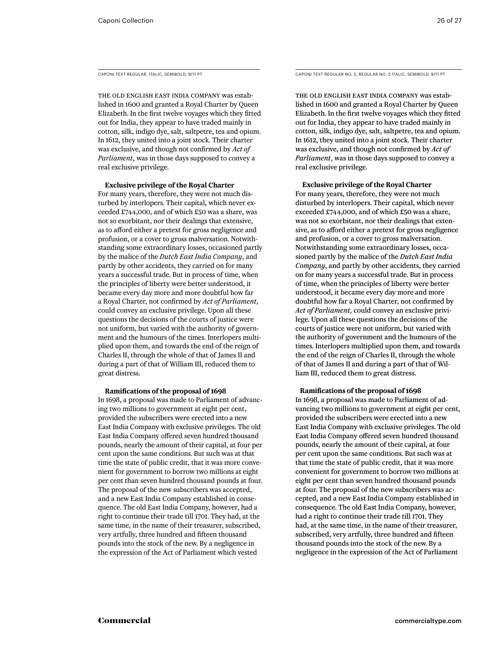The old English East India Company was established in 1600 and granted a Royal Charter by Queen Elizabeth. In the first twelve voyages which they fitted out for India, they appear to have traded mainly in cotton, silk, indigo dye, salt, saltpetre, tea and opium. In 1612, they united into a joint stock. Their charter was exclusive, and though not confirmed by *Act of Parliament*, was in those days supposed to convey a real exclusive privilege.

**Exclusive privilege of the Royal Charter**

For many years, therefore, they were not much disturbed by interlopers. Their capital, which never exceeded £744,000, and of which £50 was a share, was not so exorbitant, nor their dealings that extensive, as to afford either a pretext for gross negligence and profusion, or a cover to gross malversation. Notwithstanding some extraordinary losses, occasioned partly by the malice of the *Dutch East India Company*, and partly by other accidents, they carried on for many years a successful trade. But in process of time, when the principles of liberty were better understood, it became every day more and more doubtful how far a Royal Charter, not confirmed by *Act of Parliament,* could convey an exclusive privilege. Upon all these questions the decisions of the courts of justice were not uniform, but varied with the authority of government and the humours of the times. Interlopers multiplied upon them, and towards the end of the reign of Charles II, through the whole of that of James II and during a part of that of William III, reduced them to great distress.

#### **Ramifications of the proposal of 1698**

In 1698, a proposal was made to Parliament of advancing two millions to government at eight per cent, provided the subscribers were erected into a new East India Company with exclusive privileges. The old East India Company offered seven hundred thousand pounds, nearly the amount of their capital, at four per cent upon the same conditions. But such was at that time the state of public credit, that it was more convenient for government to borrow two millions at eight per cent than seven hundred thousand pounds at four. The proposal of the new subscribers was accepted, and a new East India Company established in consequence. The old East India Company, however, had a right to continue their trade till 1701. They had, at the same time, in the name of their treasurer, subscribed, very artfully, three hundred and fifteen thousand pounds into the stock of the new. By a negligence in the expression of the Act of Parliament which vested

Caponi Text Regular, Italic, semibold, 9/11 PT Caponi Text Regular No. 2, Regular No. 2 Italic, semiBold, 9/11 PT

The old English East India Company was established in 1600 and granted a Royal Charter by Queen Elizabeth. In the first twelve voyages which they fitted out for India, they appear to have traded mainly in cotton, silk, indigo dye, salt, saltpetre, tea and opium. In 1612, they united into a joint stock. Their charter was exclusive, and though not confirmed by *Act of Parliament*, was in those days supposed to convey a real exclusive privilege.

#### **Exclusive privilege of the Royal Charter**

For many years, therefore, they were not much disturbed by interlopers. Their capital, which never exceeded £744,000, and of which £50 was a share, was not so exorbitant, nor their dealings that extensive, as to afford either a pretext for gross negligence and profusion, or a cover to gross malversation. Notwithstanding some extraordinary losses, occasioned partly by the malice of the *Dutch East India Company*, and partly by other accidents, they carried on for many years a successful trade. But in process of time, when the principles of liberty were better understood, it became every day more and more doubtful how far a Royal Charter, not confirmed by *Act of Parliament,* could convey an exclusive privilege. Upon all these questions the decisions of the courts of justice were not uniform, but varied with the authority of government and the humours of the times. Interlopers multiplied upon them, and towards the end of the reign of Charles II, through the whole of that of James II and during a part of that of William III, reduced them to great distress.

#### **Ramifications of the proposal of 1698**

In 1698, a proposal was made to Parliament of advancing two millions to government at eight per cent, provided the subscribers were erected into a new East India Company with exclusive privileges. The old East India Company offered seven hundred thousand pounds, nearly the amount of their capital, at four per cent upon the same conditions. But such was at that time the state of public credit, that it was more convenient for government to borrow two millions at eight per cent than seven hundred thousand pounds at four. The proposal of the new subscribers was accepted, and a new East India Company established in consequence. The old East India Company, however, had a right to continue their trade till 1701. They had, at the same time, in the name of their treasurer, subscribed, very artfully, three hundred and fifteen thousand pounds into the stock of the new. By a negligence in the expression of the Act of Parliament